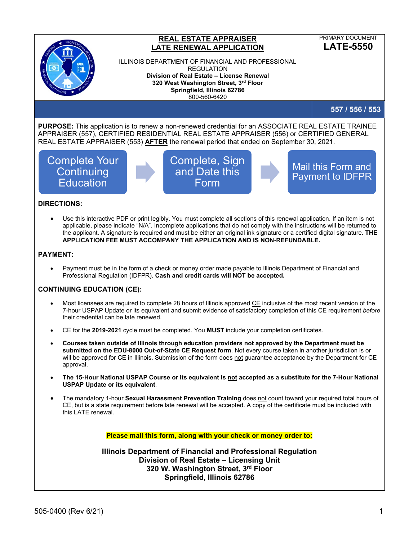

## **REAL ESTATE APPRAISER LATE RENEWAL APPLICATION**

PRIMARY DOCUMENT **LATE-5550**

ILLINOIS DEPARTMENT OF FINANCIAL AND PROFESSIONAL REGULATION **Division of Real Estate – License Renewal 320 West Washington Street, 3rd Floor Springfield, Illinois 62786** 800-560-6420

**557 / 556 / 553**

**PURPOSE:** This application is to renew a non-renewed credential for an ASSOCIATE REAL ESTATE TRAINEE APPRAISER (557), CERTIFIED RESIDENTIAL REAL ESTATE APPRAISER (556) or CERTIFIED GENERAL REAL ESTATE APPRAISER (553) **AFTER** the renewal period that ended on September 30, 2021.

# Complete Your **Continuing Education**



Mail this Form and Payment to IDFPR

#### **DIRECTIONS:**

• Use this interactive PDF or print legibly. You must complete all sections of this renewal application. If an item is not applicable, please indicate "N/A". Incomplete applications that do not comply with the instructions will be returned to the applicant. A signature is required and must be either an original ink signature or a certified digital signature. **THE APPLICATION FEE MUST ACCOMPANY THE APPLICATION AND IS NON-REFUNDABLE.**

#### **PAYMENT:**

• Payment must be in the form of a check or money order made payable to Illinois Department of Financial and Professional Regulation (IDFPR). **Cash and credit cards will NOT be accepted.**

### **CONTINUING EDUCATION (CE):**

- Most licensees are required to complete 28 hours of Illinois approved CE inclusive of the most recent version of the 7-hour USPAP Update or its equivalent and submit evidence of satisfactory completion of this CE requirement *before* their credential can be late renewed.
- CE for the **2019-2021** cycle must be completed. You **MUST** include your completion certificates.
- **Courses taken outside of Illinois through education providers not approved by the Department must be submitted on the EDU-8000 Out-of-State CE Request form**. Not every course taken in another jurisdiction is or will be approved for CE in Illinois. Submission of the form does not guarantee acceptance by the Department for CE approval.
- **The 15-Hour National USPAP Course or its equivalent is not accepted as a substitute for the 7-Hour National USPAP Update or its equivalent**.
- The mandatory 1-hour **Sexual Harassment Prevention Training** does not count toward your required total hours of CE, but is a state requirement before late renewal will be accepted. A copy of the certificate must be included with this LATE renewal.

**Please mail this form, along with your check or money order to:**

**Illinois Department of Financial and Professional Regulation Division of Real Estate – Licensing Unit 320 W. Washington Street, 3rd Floor Springfield, Illinois 62786**